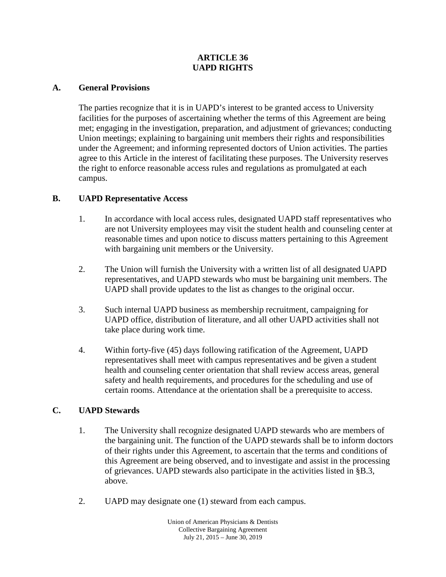### **ARTICLE 36 UAPD RIGHTS**

#### **A. General Provisions**

The parties recognize that it is in UAPD's interest to be granted access to University facilities for the purposes of ascertaining whether the terms of this Agreement are being met; engaging in the investigation, preparation, and adjustment of grievances; conducting Union meetings; explaining to bargaining unit members their rights and responsibilities under the Agreement; and informing represented doctors of Union activities. The parties agree to this Article in the interest of facilitating these purposes. The University reserves the right to enforce reasonable access rules and regulations as promulgated at each campus.

### **B. UAPD Representative Access**

- 1. In accordance with local access rules, designated UAPD staff representatives who are not University employees may visit the student health and counseling center at reasonable times and upon notice to discuss matters pertaining to this Agreement with bargaining unit members or the University.
- 2. The Union will furnish the University with a written list of all designated UAPD representatives, and UAPD stewards who must be bargaining unit members. The UAPD shall provide updates to the list as changes to the original occur.
- 3. Such internal UAPD business as membership recruitment, campaigning for UAPD office, distribution of literature, and all other UAPD activities shall not take place during work time.
- 4. Within forty-five (45) days following ratification of the Agreement, UAPD representatives shall meet with campus representatives and be given a student health and counseling center orientation that shall review access areas, general safety and health requirements, and procedures for the scheduling and use of certain rooms. Attendance at the orientation shall be a prerequisite to access.

### **C. UAPD Stewards**

- 1. The University shall recognize designated UAPD stewards who are members of the bargaining unit. The function of the UAPD stewards shall be to inform doctors of their rights under this Agreement, to ascertain that the terms and conditions of this Agreement are being observed, and to investigate and assist in the processing of grievances. UAPD stewards also participate in the activities listed in §B.3, above.
- 2. UAPD may designate one (1) steward from each campus.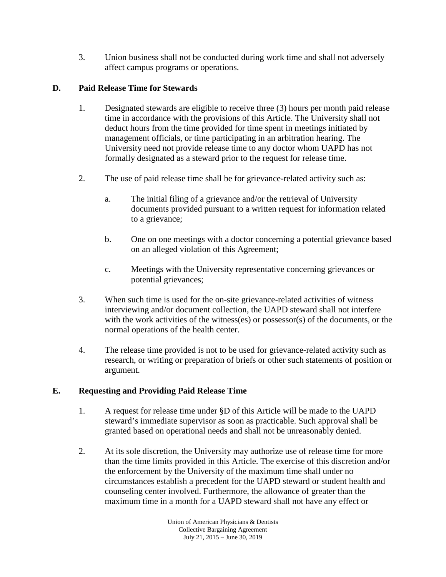3. Union business shall not be conducted during work time and shall not adversely affect campus programs or operations.

# **D. Paid Release Time for Stewards**

- 1. Designated stewards are eligible to receive three (3) hours per month paid release time in accordance with the provisions of this Article. The University shall not deduct hours from the time provided for time spent in meetings initiated by management officials, or time participating in an arbitration hearing. The University need not provide release time to any doctor whom UAPD has not formally designated as a steward prior to the request for release time.
- 2. The use of paid release time shall be for grievance-related activity such as:
	- a. The initial filing of a grievance and/or the retrieval of University documents provided pursuant to a written request for information related to a grievance;
	- b. One on one meetings with a doctor concerning a potential grievance based on an alleged violation of this Agreement;
	- c. Meetings with the University representative concerning grievances or potential grievances;
- 3. When such time is used for the on-site grievance-related activities of witness interviewing and/or document collection, the UAPD steward shall not interfere with the work activities of the witness(es) or possessor(s) of the documents, or the normal operations of the health center.
- 4. The release time provided is not to be used for grievance-related activity such as research, or writing or preparation of briefs or other such statements of position or argument.

# **E. Requesting and Providing Paid Release Time**

- 1. A request for release time under §D of this Article will be made to the UAPD steward's immediate supervisor as soon as practicable. Such approval shall be granted based on operational needs and shall not be unreasonably denied.
- 2. At its sole discretion, the University may authorize use of release time for more than the time limits provided in this Article. The exercise of this discretion and/or the enforcement by the University of the maximum time shall under no circumstances establish a precedent for the UAPD steward or student health and counseling center involved. Furthermore, the allowance of greater than the maximum time in a month for a UAPD steward shall not have any effect or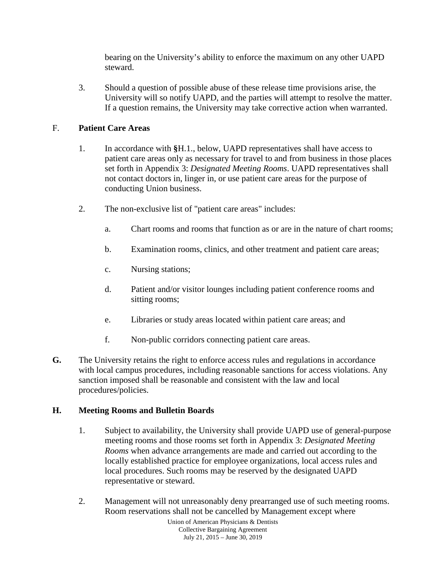bearing on the University's ability to enforce the maximum on any other UAPD steward.

3. Should a question of possible abuse of these release time provisions arise, the University will so notify UAPD, and the parties will attempt to resolve the matter. If a question remains, the University may take corrective action when warranted.

## F. **Patient Care Areas**

- 1. In accordance with **§**H.1., below, UAPD representatives shall have access to patient care areas only as necessary for travel to and from business in those places set forth in Appendix 3: *Designated Meeting Rooms*. UAPD representatives shall not contact doctors in, linger in, or use patient care areas for the purpose of conducting Union business.
- 2. The non-exclusive list of "patient care areas" includes:
	- a. Chart rooms and rooms that function as or are in the nature of chart rooms;
	- b. Examination rooms, clinics, and other treatment and patient care areas;
	- c. Nursing stations;
	- d. Patient and/or visitor lounges including patient conference rooms and sitting rooms;
	- e. Libraries or study areas located within patient care areas; and
	- f. Non-public corridors connecting patient care areas.
- **G.** The University retains the right to enforce access rules and regulations in accordance with local campus procedures, including reasonable sanctions for access violations. Any sanction imposed shall be reasonable and consistent with the law and local procedures/policies.

## **H. Meeting Rooms and Bulletin Boards**

- 1. Subject to availability, the University shall provide UAPD use of general-purpose meeting rooms and those rooms set forth in Appendix 3: *Designated Meeting Rooms* when advance arrangements are made and carried out according to the locally established practice for employee organizations, local access rules and local procedures. Such rooms may be reserved by the designated UAPD representative or steward.
- 2. Management will not unreasonably deny prearranged use of such meeting rooms. Room reservations shall not be cancelled by Management except where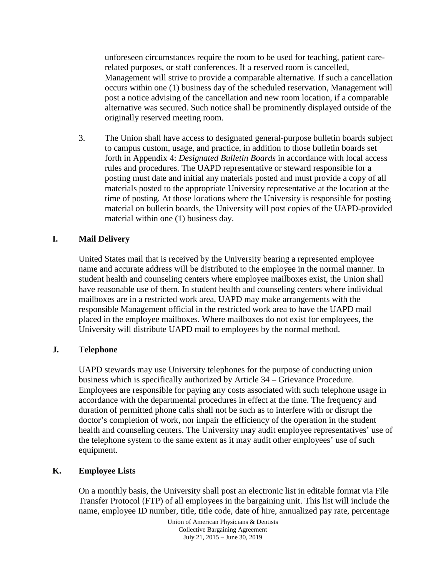unforeseen circumstances require the room to be used for teaching, patient carerelated purposes, or staff conferences. If a reserved room is cancelled, Management will strive to provide a comparable alternative. If such a cancellation occurs within one (1) business day of the scheduled reservation, Management will post a notice advising of the cancellation and new room location, if a comparable alternative was secured. Such notice shall be prominently displayed outside of the originally reserved meeting room.

3. The Union shall have access to designated general-purpose bulletin boards subject to campus custom, usage, and practice, in addition to those bulletin boards set forth in Appendix 4: *Designated Bulletin Boards* in accordance with local access rules and procedures. The UAPD representative or steward responsible for a posting must date and initial any materials posted and must provide a copy of all materials posted to the appropriate University representative at the location at the time of posting. At those locations where the University is responsible for posting material on bulletin boards, the University will post copies of the UAPD-provided material within one (1) business day.

### **I. Mail Delivery**

United States mail that is received by the University bearing a represented employee name and accurate address will be distributed to the employee in the normal manner. In student health and counseling centers where employee mailboxes exist, the Union shall have reasonable use of them. In student health and counseling centers where individual mailboxes are in a restricted work area, UAPD may make arrangements with the responsible Management official in the restricted work area to have the UAPD mail placed in the employee mailboxes. Where mailboxes do not exist for employees, the University will distribute UAPD mail to employees by the normal method.

### **J. Telephone**

UAPD stewards may use University telephones for the purpose of conducting union business which is specifically authorized by Article 34 – Grievance Procedure. Employees are responsible for paying any costs associated with such telephone usage in accordance with the departmental procedures in effect at the time. The frequency and duration of permitted phone calls shall not be such as to interfere with or disrupt the doctor's completion of work, nor impair the efficiency of the operation in the student health and counseling centers. The University may audit employee representatives' use of the telephone system to the same extent as it may audit other employees' use of such equipment.

### **K. Employee Lists**

On a monthly basis, the University shall post an electronic list in editable format via File Transfer Protocol (FTP) of all employees in the bargaining unit. This list will include the name, employee ID number, title, title code, date of hire, annualized pay rate, percentage